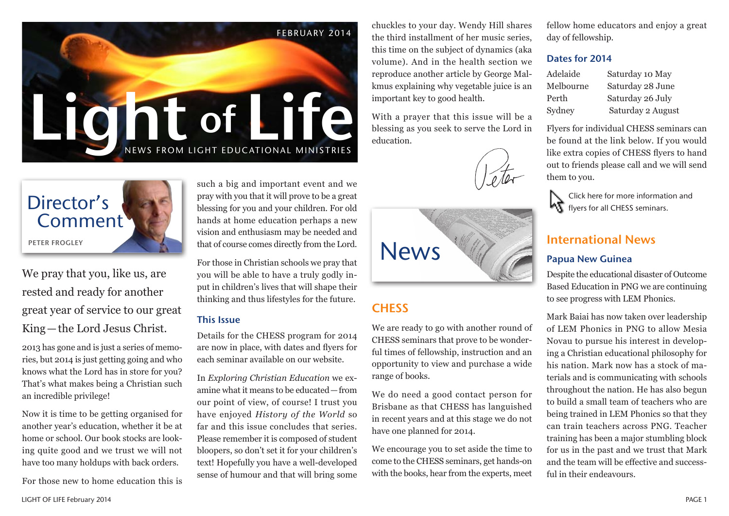



We pray that you, like us, are rested and ready for another great year of service to our great King—the Lord Jesus Christ.

2013 has gone and is just a series of memories, but 2014 is just getting going and who knows what the Lord has in store for you? That's what makes being a Christian such an incredible privilege!

Now it is time to be getting organised for another year's education, whether it be at home or school. Our book stocks are looking quite good and we trust we will not have too many holdups with back orders.

For those new to home education this is

such a big and important event and we pray with you that it will prove to be a great blessing for you and your children. For old hands at home education perhaps a new vision and enthusiasm may be needed and that of course comes directly from the Lord.

you will be able to have a truly godly input in children's lives that will shape their thinking and thus lifestyles for the future.

#### This Issue

Details for the CHESS program for 2014 are now in place, with dates and flyers for each seminar available on our website.

In *Exploring Christian Education* we examine what it means to be educated—from our point of view, of course! I trust you have enjoyed *History of the World* so far and this issue concludes that series. Please remember it is composed of student bloopers, so don't set it for your children's text! Hopefully you have a well-developed sense of humour and that will bring some chuckles to your day. Wendy Hill shares the third installment of her music series, this time on the subject of dynamics (aka volume). And in the health section we reproduce another article by George Malkmus explaining why vegetable juice is an important key to good health.

With a prayer that this issue will be a blessing as you seek to serve the Lord in education.



## **CHESS**

We are ready to go with another round of CHESS seminars that prove to be wonderful times of fellowship, instruction and an opportunity to view and purchase a wide range of books.

We do need a good contact person for Brisbane as that CHESS has languished in recent years and at this stage we do not have one planned for 2014.

We encourage you to set aside the time to come to the CHESS seminars, get hands-on with the books, hear from the experts, meet fellow home educators and enjoy a great day of fellowship.

#### Dates for 2014

| Adelaide  | Saturday 10 May   |
|-----------|-------------------|
| Melbourne | Saturday 28 June  |
| Perth     | Saturday 26 July  |
| Sydney    | Saturday 2 August |

Flyers for individual CHESS seminars can be found at the link below. If you would like extra copies of CHESS flyers to hand out to friends please call and we will send them to you.



### International News

#### Papua New Guinea

Despite the educational disaster of Outcome Based Education in PNG we are continuing to see progress with LEM Phonics.

Mark Baiai has now taken over leadership of LEM Phonics in PNG to allow Mesia Novau to pursue his interest in developing a Christian educational philosophy for his nation. Mark now has a stock of materials and is communicating with schools throughout the nation. He has also begun to build a small team of teachers who are being trained in LEM Phonics so that they can train teachers across PNG. Teacher training has been a major stumbling block for us in the past and we trust that Mark and the team will be effective and successful in their endeavours.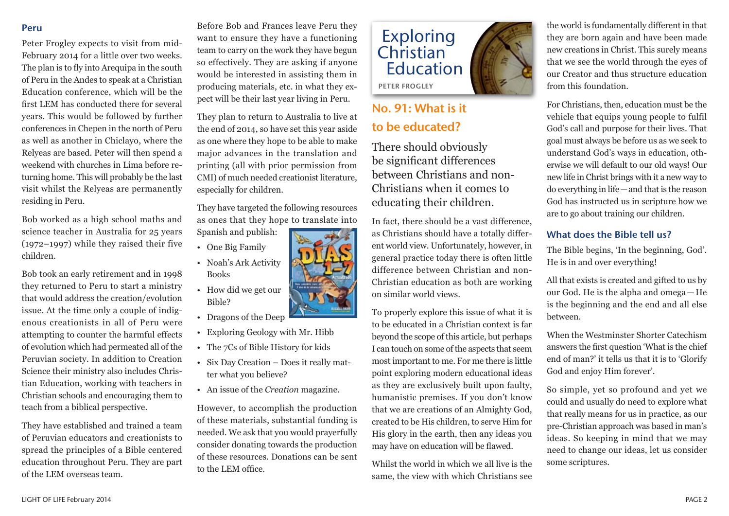#### Peru

Peter Frogley expects to visit from mid-February 2014 for a little over two weeks. The plan is to fly into Arequipa in the south of Peru in the Andes to speak at a Christian Education conference, which will be the first LEM has conducted there for several years. This would be followed by further conferences in Chepen in the north of Peru as well as another in Chiclayo, where the Relyeas are based. Peter will then spend a weekend with churches in Lima before returning home. This will probably be the last visit whilst the Relyeas are permanently residing in Peru.

Bob worked as a high school maths and science teacher in Australia for 25 years (1972–1997) while they raised their five children.

Bob took an early retirement and in 1998 they returned to Peru to start a ministry that would address the creation/evolution issue. At the time only a couple of indigenous creationists in all of Peru were attempting to counter the harmful effects of evolution which had permeated all of the Peruvian society. In addition to Creation Science their ministry also includes Christian Education, working with teachers in Christian schools and encouraging them to teach from a biblical perspective.

They have established and trained a team of Peruvian educators and creationists to spread the principles of a Bible centered education throughout Peru. They are part of the LEM overseas team.

Before Bob and Frances leave Peru they want to ensure they have a functioning team to carry on the work they have begun so effectively. They are asking if anyone would be interested in assisting them in producing materials, etc. in what they expect will be their last year living in Peru.

They plan to return to Australia to live at the end of 2014, so have set this year aside as one where they hope to be able to make major advances in the translation and printing (all with prior permission from CMI) of much needed creationist literature, especially for children.

They have targeted the following resources as ones that they hope to translate into

- One Big Family
- Noah's Ark Activity Books

Spanish and publish:

- How did we get our Bible?
- Dragons of the Deep
- Exploring Geology with Mr. Hibb
- The 7Cs of Bible History for kids
- Six Day Creation Does it really matter what you believe?
- An issue of the *Creation* magazine.

However, to accomplish the production of these materials, substantial funding is needed. We ask that you would prayerfully consider donating towards the production of these resources. Donations can be sent to the LEM office.

## Exploring **Christian**  Education PETER FROGLEY

## No. 91: What is it to be educated?

There should obviously be significant differences between Christians and non-Christians when it comes to educating their children.

In fact, there should be a vast difference, as Christians should have a totally different world view. Unfortunately, however, in general practice today there is often little difference between Christian and non-Christian education as both are working on similar world views.

To properly explore this issue of what it is to be educated in a Christian context is far beyond the scope of this article, but perhaps I can touch on some of the aspects that seem most important to me. For me there is little point exploring modern educational ideas as they are exclusively built upon faulty, humanistic premises. If you don't know that we are creations of an Almighty God, created to be His children, to serve Him for His glory in the earth, then any ideas you may have on education will be flawed.

Whilst the world in which we all live is the same, the view with which Christians see

the world is fundamentally different in that they are born again and have been made new creations in Christ. This surely means that we see the world through the eyes of our Creator and thus structure education from this foundation.

For Christians, then, education must be the vehicle that equips young people to fulfil God's call and purpose for their lives. That goal must always be before us as we seek to understand God's ways in education, otherwise we will default to our old ways! Our new life in Christ brings with it a new way to do everything in life—and that is the reason God has instructed us in scripture how we are to go about training our children.

#### What does the Bible tell us?

The Bible begins, 'In the beginning, God'. He is in and over everything!

All that exists is created and gifted to us by our God. He is the alpha and omega—He is the beginning and the end and all else between.

When the Westminster Shorter Catechism answers the first question 'What is the chief end of man?' it tells us that it is to 'Glorify God and enjoy Him forever'.

So simple, yet so profound and yet we could and usually do need to explore what that really means for us in practice, as our pre-Christian approach was based in man's ideas. So keeping in mind that we may need to change our ideas, let us consider some scriptures.

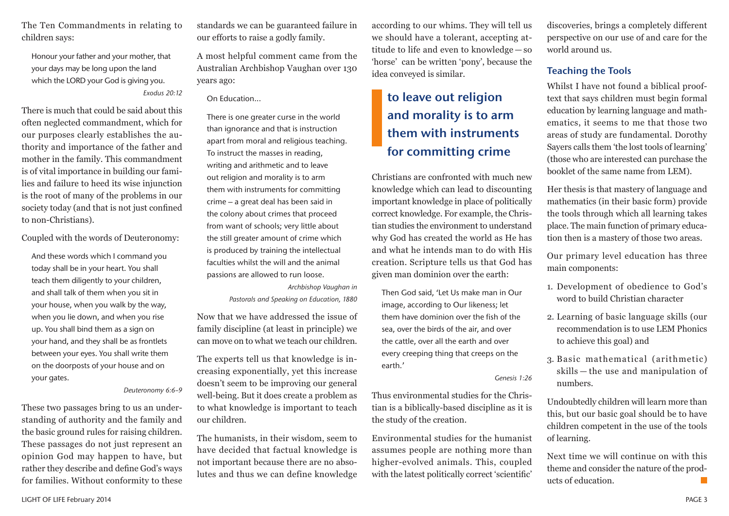The Ten Commandments in relating to children says:

Honour your father and your mother, that your days may be long upon the land which the LORD your God is giving you. *Exodus 20:12*

There is much that could be said about this often neglected commandment, which for our purposes clearly establishes the authority and importance of the father and mother in the family. This commandment is of vital importance in building our families and failure to heed its wise injunction is the root of many of the problems in our society today (and that is not just confined to non-Christians).

Coupled with the words of Deuteronomy:

And these words which I command you today shall be in your heart. You shall teach them diligently to your children, and shall talk of them when you sit in your house, when you walk by the way, when you lie down, and when you rise up. You shall bind them as a sign on your hand, and they shall be as frontlets between your eyes. You shall write them on the doorposts of your house and on your gates.

*Deuteronomy 6:6–9*

These two passages bring to us an understanding of authority and the family and the basic ground rules for raising children. These passages do not just represent an opinion God may happen to have, but rather they describe and define God's ways for families. Without conformity to these

standards we can be guaranteed failure in our efforts to raise a godly family.

A most helpful comment came from the Australian Archbishop Vaughan over 130 years ago:

On Education...

There is one greater curse in the world than ignorance and that is instruction apart from moral and religious teaching. To instruct the masses in reading, writing and arithmetic and to leave out religion and morality is to arm them with instruments for committing crime – a great deal has been said in the colony about crimes that proceed from want of schools; very little about the still greater amount of crime which is produced by training the intellectual faculties whilst the will and the animal passions are allowed to run loose.

> *Archbishop Vaughan in Pastorals and Speaking on Education, 1880*

Now that we have addressed the issue of family discipline (at least in principle) we can move on to what we teach our children.

The experts tell us that knowledge is increasing exponentially, yet this increase doesn't seem to be improving our general well-being. But it does create a problem as to what knowledge is important to teach our children.

The humanists, in their wisdom, seem to have decided that factual knowledge is not important because there are no absolutes and thus we can define knowledge according to our whims. They will tell us we should have a tolerant, accepting attitude to life and even to knowledge — so 'horse' can be written 'pony', because the idea conveyed is similar.

## to leave out religion and morality is to arm them with instruments for committing crime

Christians are confronted with much new knowledge which can lead to discounting important knowledge in place of politically correct knowledge. For example, the Christian studies the environment to understand why God has created the world as He has and what he intends man to do with His creation. Scripture tells us that God has given man dominion over the earth:

Then God said, 'Let Us make man in Our image, according to Our likeness; let them have dominion over the fish of the sea, over the birds of the air, and over the cattle, over all the earth and over every creeping thing that creeps on the earth.'

#### *Genesis 1:26*

Thus environmental studies for the Christian is a biblically-based discipline as it is the study of the creation.

Environmental studies for the humanist assumes people are nothing more than higher-evolved animals. This, coupled with the latest politically correct 'scientific'

discoveries, brings a completely different perspective on our use of and care for the world around us.

#### Teaching the Tools

Whilst I have not found a biblical prooftext that says children must begin formal education by learning language and mathematics, it seems to me that those two areas of study are fundamental. Dorothy Sayers calls them 'the lost tools of learning' (those who are interested can purchase the booklet of the same name from LEM).

Her thesis is that mastery of language and mathematics (in their basic form) provide the tools through which all learning takes place. The main function of primary education then is a mastery of those two areas.

Our primary level education has three main components:

- 1. Development of obedience to God's word to build Christian character
- 2. Learning of basic language skills (our recommendation is to use LEM Phonics to achieve this goal) and
- 3. Basic mathematical (arithmetic) skills — the use and manipulation of numbers.

Undoubtedly children will learn more than this, but our basic goal should be to have children competent in the use of the tools of learning.

Next time we will continue on with this theme and consider the nature of the products of education.  $\Box$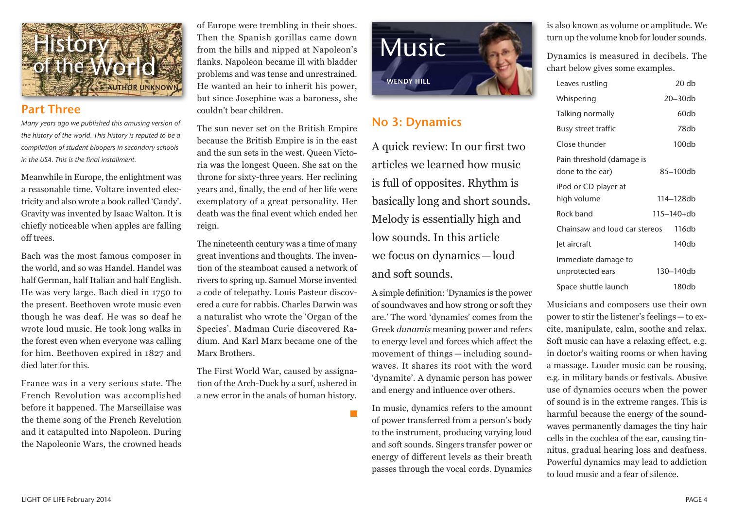

#### Part Three

*Many years ago we published this amusing version of the history of the world. This history is reputed to be a compilation of student bloopers in secondary schools in the USA. This is the final installment.*

Meanwhile in Europe, the enlightment was a reasonable time. Voltare invented electricity and also wrote a book called 'Candy'. Gravity was invented by Isaac Walton. It is chiefly noticeable when apples are falling off trees.

Bach was the most famous composer in the world, and so was Handel. Handel was half German, half Italian and half English. He was very large. Bach died in 1750 to the present. Beethoven wrote music even though he was deaf. He was so deaf he wrote loud music. He took long walks in the forest even when everyone was calling for him. Beethoven expired in 1827 and died later for this.

France was in a very serious state. The French Revolution was accomplished before it happened. The Marseillaise was the theme song of the French Revelution and it catapulted into Napoleon. During the Napoleonic Wars, the crowned heads of Europe were trembling in their shoes. Then the Spanish gorillas came down from the hills and nipped at Napoleon's flanks. Napoleon became ill with bladder problems and was tense and unrestrained. He wanted an heir to inherit his power, but since Josephine was a baroness, she couldn't bear children.

The sun never set on the British Empire because the British Empire is in the east and the sun sets in the west. Queen Victoria was the longest Queen. She sat on the throne for sixty-three years. Her reclining years and, finally, the end of her life were exemplatory of a great personality. Her death was the final event which ended her reign.

The nineteenth century was a time of many great inventions and thoughts. The invention of the steamboat caused a network of rivers to spring up. Samuel Morse invented a code of telepathy. Louis Pasteur discovered a cure for rabbis. Charles Darwin was a naturalist who wrote the 'Organ of the Species'. Madman Curie discovered Radium. And Karl Marx became one of the Marx Brothers.

The First World War, caused by assignation of the Arch-Duck by a surf, ushered in a new error in the anals of human history.



### No 3: Dynamics

A quick review: In our first two articles we learned how music is full of opposites. Rhythm is basically long and short sounds. Melody is essentially high and low sounds. In this article we focus on dynamics—loud and soft sounds.

A simple definition: 'Dynamics is the power of soundwaves and how strong or soft they are.' The word 'dynamics' comes from the Greek *dunamis* meaning power and refers to energy level and forces which affect the movement of things — including soundwaves. It shares its root with the word 'dynamite'. A dynamic person has power and energy and influence over others.

In music, dynamics refers to the amount of power transferred from a person's body to the instrument, producing varying loud and soft sounds. Singers transfer power or energy of different levels as their breath passes through the vocal cords. Dynamics

is also known as volume or amplitude. We turn up the volume knob for louder sounds.

Dynamics is measured in decibels. The chart below gives some examples.

| Leaves rustling                               | 20 <sub>db</sub> |
|-----------------------------------------------|------------------|
| Whispering                                    | $20 - 30$ db     |
| Talking normally                              | 60db             |
| Busy street traffic                           | 78db             |
| Close thunder                                 | 100db            |
| Pain threshold (damage is<br>done to the ear) | 85-100db         |
| iPod or CD player at<br>high volume           | 114-128db        |
| Rock band                                     | $115 - 140 + db$ |
| Chainsaw and loud car stereos                 | 116db            |
| let aircraft                                  | 140db            |
| Immediate damage to<br>unprotected ears       | 130-140db        |
| Space shuttle launch                          | 180db            |

Musicians and composers use their own power to stir the listener's feelings—to excite, manipulate, calm, soothe and relax. Soft music can have a relaxing effect, e.g. in doctor's waiting rooms or when having a massage. Louder music can be rousing, e.g. in military bands or festivals. Abusive use of dynamics occurs when the power of sound is in the extreme ranges. This is harmful because the energy of the soundwaves permanently damages the tiny hair cells in the cochlea of the ear, causing tinnitus, gradual hearing loss and deafness. Powerful dynamics may lead to addiction to loud music and a fear of silence.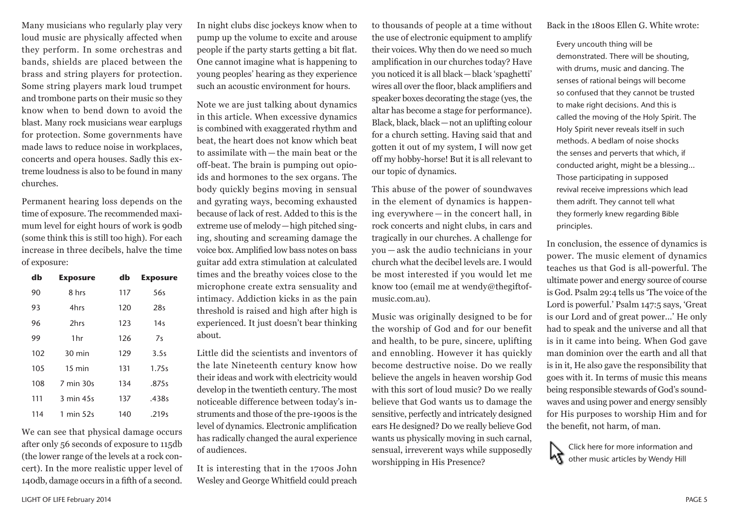Many musicians who regularly play very loud music are physically affected when they perform. In some orchestras and bands, shields are placed between the brass and string players for protection. Some string players mark loud trumpet and trombone parts on their music so they know when to bend down to avoid the blast. Many rock musicians wear earplugs for protection. Some governments have made laws to reduce noise in workplaces, concerts and opera houses. Sadly this extreme loudness is also to be found in many churches.

Permanent hearing loss depends on the time of exposure. The recommended maximum level for eight hours of work is 90db (some think this is still too high). For each increase in three decibels, halve the time of exposure:

| db  | <b>Exposure</b>      | db  | <b>Exposure</b> |
|-----|----------------------|-----|-----------------|
| 90  | 8 hrs                | 117 | <b>56s</b>      |
| 93  | 4hrs                 | 120 | 28s             |
| 96  | 2hrs                 | 123 | 14s             |
| 99  | 1 <sub>hr</sub>      | 126 | 7s              |
| 102 | $30 \text{ min}$     | 129 | 3.5s            |
| 105 | $15 \text{ min}$     | 131 | 1.75s           |
| 108 | 7 min 30s            | 134 | .875s           |
| 111 | 3 min 45s            | 137 | .438s           |
| 114 | $1 \text{ min } 52s$ | 140 | .219s           |

We can see that physical damage occurs after only 56 seconds of exposure to 115db (the lower range of the levels at a rock concert). In the more realistic upper level of 140db, damage occurs in a fifth of a second.

In night clubs disc jockeys know when to pump up the volume to excite and arouse people if the party starts getting a bit flat. One cannot imagine what is happening to young peoples' hearing as they experience such an acoustic environment for hours.

Note we are just talking about dynamics in this article. When excessive dynamics is combined with exaggerated rhythm and beat, the heart does not know which beat to assimilate with — the main beat or the off-beat. The brain is pumping out opioids and hormones to the sex organs. The body quickly begins moving in sensual and gyrating ways, becoming exhausted because of lack of rest. Added to this is the extreme use of melody—high pitched singing, shouting and screaming damage the voice box. Amplified low bass notes on bass guitar add extra stimulation at calculated times and the breathy voices close to the microphone create extra sensuality and intimacy. Addiction kicks in as the pain threshold is raised and high after high is experienced. It just doesn't bear thinking about.

Little did the scientists and inventors of the late Nineteenth century know how their ideas and work with electricity would develop in the twentieth century. The most noticeable difference between today's instruments and those of the pre-1900s is the level of dynamics. Electronic amplification has radically changed the aural experience of audiences.

It is interesting that in the 1700s John Wesley and George Whitfield could preach

to thousands of people at a time without the use of electronic equipment to amplify their voices. Why then do we need so much amplification in our churches today? Have you noticed it is all black—black 'spaghetti' wires all over the floor, black amplifiers and speaker boxes decorating the stage (yes, the altar has become a stage for performance). Black, black, black—not an uplifting colour for a church setting. Having said that and gotten it out of my system, I will now get off my hobby-horse! But it is all relevant to our topic of dynamics.

This abuse of the power of soundwaves in the element of dynamics is happening everywhere — in the concert hall, in rock concerts and night clubs, in cars and tragically in our churches. A challenge for you — ask the audio technicians in your church what the decibel levels are. I would be most interested if you would let me know too (email me at wendy@thegiftofmusic.com.au).

Music was originally designed to be for the worship of God and for our benefit and health, to be pure, sincere, uplifting and ennobling. However it has quickly become destructive noise. Do we really believe the angels in heaven worship God with this sort of loud music? Do we really believe that God wants us to damage the sensitive, perfectly and intricately designed ears He designed? Do we really believe God wants us physically moving in such carnal, sensual, irreverent ways while supposedly worshipping in His Presence?

Back in the 1800s Ellen G. White wrote:

Every uncouth thing will be demonstrated. There will be shouting, with drums, music and dancing. The senses of rational beings will become so confused that they cannot be trusted to make right decisions. And this is called the moving of the Holy Spirit. The Holy Spirit never reveals itself in such methods. A bedlam of noise shocks the senses and perverts that which, if conducted aright, might be a blessing… Those participating in supposed revival receive impressions which lead them adrift. They cannot tell what they formerly knew regarding Bible principles.

In conclusion, the essence of dynamics is power. The music element of dynamics teaches us that God is all-powerful. The ultimate power and energy source of course is God. Psalm 29:4 tells us 'The voice of the Lord is powerful.' Psalm 147:5 says, 'Great is our Lord and of great power...' He only had to speak and the universe and all that is in it came into being. When God gave man dominion over the earth and all that is in it, He also gave the responsibility that goes with it. In terms of music this means being responsible stewards of God's soundwaves and using power and energy sensibly for His purposes to worship Him and for the benefit, not harm, of man.

Click here for more information and other music articles by Wendy Hill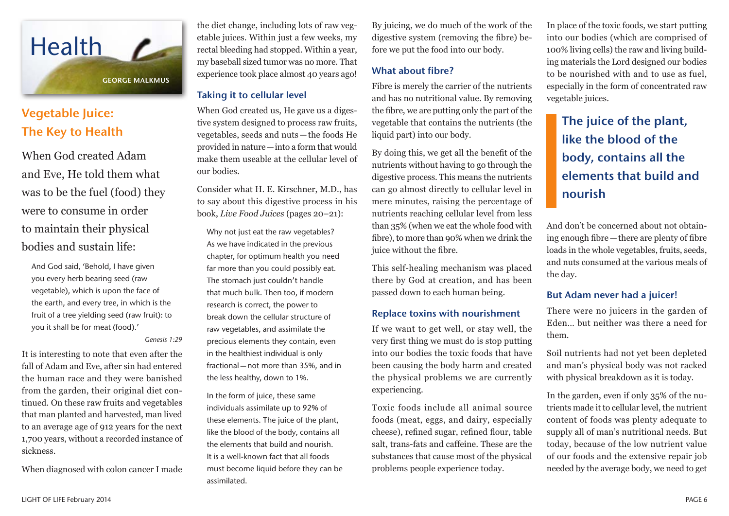

## Vegetable Juice: The Key to Health

When God created Adam and Eve, He told them what was to be the fuel (food) they were to consume in order to maintain their physical bodies and sustain life:

And God said, 'Behold, I have given you every herb bearing seed (raw vegetable), which is upon the face of the earth, and every tree, in which is the fruit of a tree yielding seed (raw fruit): to you it shall be for meat (food).'

*Genesis 1:29*

It is interesting to note that even after the fall of Adam and Eve, after sin had entered the human race and they were banished from the garden, their original diet continued. On these raw fruits and vegetables that man planted and harvested, man lived to an average age of 912 years for the next 1,700 years, without a recorded instance of sickness.

When diagnosed with colon cancer I made

the diet change, including lots of raw vegetable juices. Within just a few weeks, my rectal bleeding had stopped. Within a year, my baseball sized tumor was no more. That experience took place almost 40 years ago!

#### Taking it to cellular level

When God created us, He gave us a digestive system designed to process raw fruits, vegetables, seeds and nuts—the foods He provided in nature—into a form that would make them useable at the cellular level of our bodies.

Consider what H. E. Kirschner, M.D., has to say about this digestive process in his book, *Live Food Juices* (pages 20–21):

Why not just eat the raw vegetables? As we have indicated in the previous chapter, for optimum health you need far more than you could possibly eat. The stomach just couldn't handle that much bulk. Then too, if modern research is correct, the power to break down the cellular structure of raw vegetables, and assimilate the precious elements they contain, even in the healthiest individual is only fractional—not more than 35%, and in the less healthy, down to 1%.

In the form of juice, these same individuals assimilate up to 92% of these elements. The juice of the plant, like the blood of the body, contains all the elements that build and nourish. It is a well-known fact that all foods must become liquid before they can be assimilated.

By juicing, we do much of the work of the digestive system (removing the fibre) before we put the food into our body.

#### What about fibre?

Fibre is merely the carrier of the nutrients and has no nutritional value. By removing the fibre, we are putting only the part of the vegetable that contains the nutrients (the liquid part) into our body.

By doing this, we get all the benefit of the nutrients without having to go through the digestive process. This means the nutrients can go almost directly to cellular level in mere minutes, raising the percentage of nutrients reaching cellular level from less than 35% (when we eat the whole food with fibre), to more than 90% when we drink the juice without the fibre.

This self-healing mechanism was placed there by God at creation, and has been passed down to each human being.

#### Replace toxins with nourishment

If we want to get well, or stay well, the very first thing we must do is stop putting into our bodies the toxic foods that have been causing the body harm and created the physical problems we are currently experiencing.

Toxic foods include all animal source foods (meat, eggs, and dairy, especially cheese), refined sugar, refined flour, table salt, trans-fats and caffeine. These are the substances that cause most of the physical problems people experience today.

In place of the toxic foods, we start putting into our bodies (which are comprised of 100% living cells) the raw and living building materials the Lord designed our bodies to be nourished with and to use as fuel, especially in the form of concentrated raw vegetable juices.

## The juice of the plant, like the blood of the body, contains all the elements that build and nourish

And don't be concerned about not obtaining enough fibre—there are plenty of fibre loads in the whole vegetables, fruits, seeds, and nuts consumed at the various meals of the day.

#### But Adam never had a juicer!

There were no juicers in the garden of Eden… but neither was there a need for them.

Soil nutrients had not yet been depleted and man's physical body was not racked with physical breakdown as it is today.

In the garden, even if only 35% of the nutrients made it to cellular level, the nutrient content of foods was plenty adequate to supply all of man's nutritional needs. But today, because of the low nutrient value of our foods and the extensive repair job needed by the average body, we need to get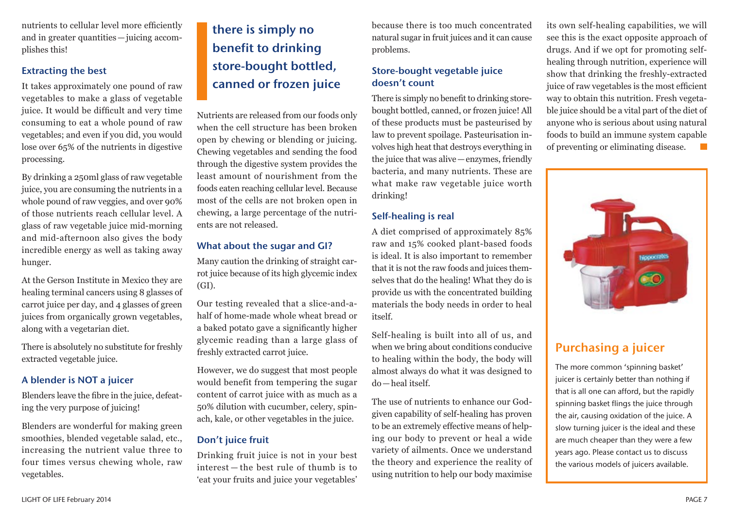nutrients to cellular level more efficiently and in greater quantities—juicing accomplishes this!

#### Extracting the best

It takes approximately one pound of raw vegetables to make a glass of vegetable juice. It would be difficult and very time consuming to eat a whole pound of raw vegetables; and even if you did, you would lose over 65% of the nutrients in digestive processing.

By drinking a 250ml glass of raw vegetable juice, you are consuming the nutrients in a whole pound of raw veggies, and over 90% of those nutrients reach cellular level. A glass of raw vegetable juice mid-morning and mid-afternoon also gives the body incredible energy as well as taking away hunger.

At the Gerson Institute in Mexico they are healing terminal cancers using 8 glasses of carrot juice per day, and 4 glasses of green juices from organically grown vegetables, along with a vegetarian diet.

There is absolutely no substitute for freshly extracted vegetable juice.

#### A blender is NOT a juicer

Blenders leave the fibre in the juice, defeating the very purpose of juicing!

Blenders are wonderful for making green smoothies, blended vegetable salad, etc., increasing the nutrient value three to four times versus chewing whole, raw vegetables.

## there is simply no benefit to drinking store-bought bottled, canned or frozen juice

Nutrients are released from our foods only when the cell structure has been broken open by chewing or blending or juicing. Chewing vegetables and sending the food through the digestive system provides the least amount of nourishment from the foods eaten reaching cellular level. Because most of the cells are not broken open in chewing, a large percentage of the nutrients are not released.

#### What about the sugar and GI?

Many caution the drinking of straight carrot juice because of its high glycemic index (GI).

Our testing revealed that a slice-and-ahalf of home-made whole wheat bread or a baked potato gave a significantly higher glycemic reading than a large glass of freshly extracted carrot juice.

However, we do suggest that most people would benefit from tempering the sugar content of carrot juice with as much as a 50% dilution with cucumber, celery, spinach, kale, or other vegetables in the juice.

#### Don't juice fruit

Drinking fruit juice is not in your best interest — the best rule of thumb is to 'eat your fruits and juice your vegetables'

because there is too much concentrated natural sugar in fruit juices and it can cause problems.

#### Store-bought vegetable juice doesn't count

There is simply no benefit to drinking storebought bottled, canned, or frozen juice! All of these products must be pasteurised by law to prevent spoilage. Pasteurisation involves high heat that destroys everything in the juice that was alive—enzymes, friendly bacteria, and many nutrients. These are what make raw vegetable juice worth drinking!

#### Self-healing is real

A diet comprised of approximately 85% raw and 15% cooked plant-based foods is ideal. It is also important to remember that it is not the raw foods and juices themselves that do the healing! What they do is provide us with the concentrated building materials the body needs in order to heal itself.

Self-healing is built into all of us, and when we bring about conditions conducive to healing within the body, the body will almost always do what it was designed to do—heal itself.

The use of nutrients to enhance our Godgiven capability of self-healing has proven to be an extremely effective means of helping our body to prevent or heal a wide variety of ailments. Once we understand the theory and experience the reality of using nutrition to help our body maximise its own self-healing capabilities, we will see this is the exact opposite approach of drugs. And if we opt for promoting selfhealing through nutrition, experience will show that drinking the freshly-extracted juice of raw vegetables is the most efficient way to obtain this nutrition. Fresh vegetable juice should be a vital part of the diet of anyone who is serious about using natural foods to build an immune system capable of preventing or eliminating disease.



## Purchasing a juicer

The more common 'spinning basket' juicer is certainly better than nothing if that is all one can afford, but the rapidly spinning basket flings the juice through the air, causing oxidation of the juice. A slow turning juicer is the ideal and these are much cheaper than they were a few years ago. Please contact us to discuss the various models of juicers available.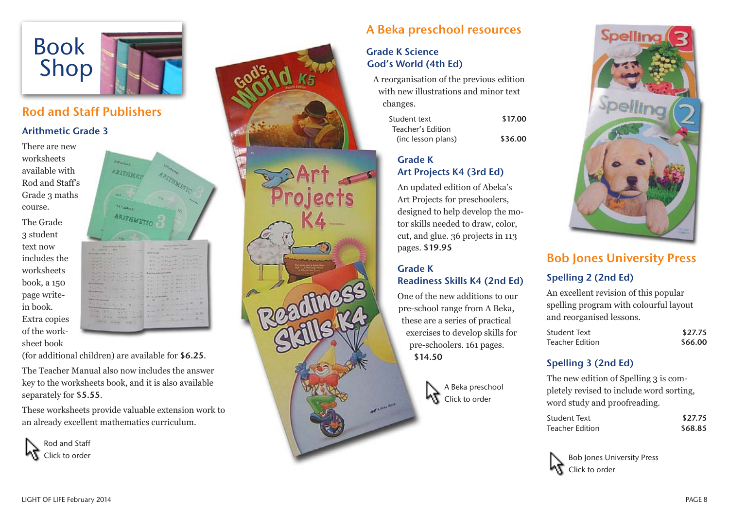

## Rod and Staff Publishers

#### Arithmetic Grade 3

There are new worksheets available with Rod and Staff's Grade 3 maths course.

The Grade 3 student text now includes the worksheets book, a 150 page writein book. Extra copies of the work sheet book



(for additional children) are available for \$6.25 .

The Teacher Manual also now includes the answer key to the worksheets book, and it is also available separately for \$5.55.

These worksheets provide valuable extension work to an already excellent mathematics curriculum.

Rod and Staff Click to order



#### Grade K Science God's World (4th Ed)

A reorganisation of the previous edition with new illustrations and minor text changes.

| Student text       | \$17.00 |
|--------------------|---------|
| Teacher's Edition  |         |
| (inc lesson plans) | \$36.00 |

#### Grade K Art Projects K4 (3rd Ed)

An updated edition of Abeka's Art Projects for preschoolers, designed to help develop the mo tor skills needed to draw, color, cut, and glue. 36 projects in 113 pages. \$19.95

#### Grade K Readiness Skills K4 (2nd Ed)

One of the new additions to our pre-school range from A Beka, these are a series of practical exercises to develop skills for pre-schoolers. 161 pages. \$14.50





## Bob Jones University Press

#### Spelling 2 (2nd Ed)

An excellent revision of this popular spelling program with colourful layout and reorganised lessons.

| <b>Student Text</b>    | \$27.75 |
|------------------------|---------|
| <b>Teacher Edition</b> | \$66.00 |

#### Spelling 3 (2nd Ed)

The new edition of Spelling 3 is com pletely revised to include word sorting, word study and proofreading.

| <b>Student Text</b>    | \$27.75 |
|------------------------|---------|
| <b>Teacher Edition</b> | \$68.85 |

Bob Jones University Press Click to order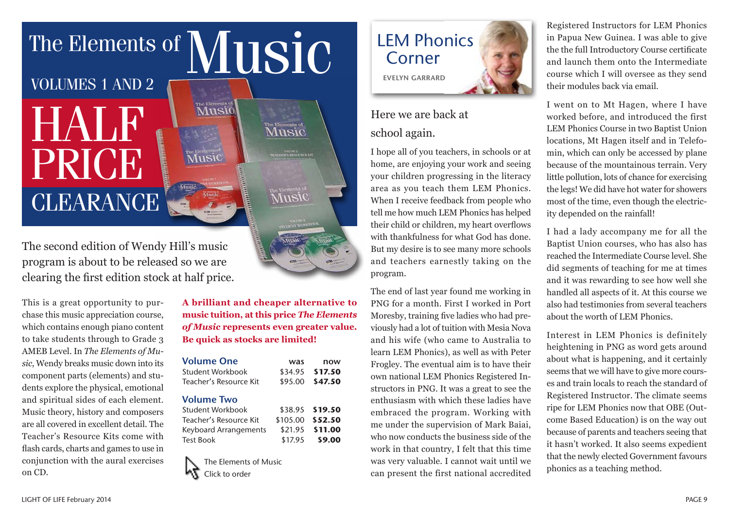# The Elements of Music VOLUMES 1 AND 2

Music

The second edition of Wendy Hill's music program is about to be released so we are clearing the first edition stock at half price.

This is a great opportunity to purchase this music appreciation course, which contains enough piano content to take students through to Grade 3 AMEB Level. In *The Elements of Music*, Wendy breaks music down into its component parts (elements) and students explore the physical, emotional and spiritual sides of each element. Music theory, history and composers are all covered in excellent detail. The Teacher's Resource Kits come with flash cards, charts and games to use in conjunction with the aural exercises on CD.

**HALF** 

PRICE

**CLEARANCE** 

**A brilliant and cheaper alternative to music tuition, at this price** *The Elements of Music* **represents even greater value. Be quick as stocks are limited!**

Music

| <b>Volume One</b>      | was | now              |
|------------------------|-----|------------------|
| Student Workbook       |     | $$34.95$ \$17.50 |
| Teacher's Resource Kit |     | $$95.00$ \$47.50 |

#### Volume Two

| Student Workbook             |                   | \$38.95 \$19.50  |
|------------------------------|-------------------|------------------|
| Teacher's Resource Kit       | $$105.00$ \$52.50 |                  |
| <b>Keyboard Arrangements</b> |                   | $$21.95$ \$11.00 |
| Test Book                    |                   | $$17.95$ \$9.00  |

The Elements of Music Click to order

## Corner Evelyn Garrard

LEM Phonics

## Here we are back at school again.

I hope all of you teachers, in schools or at home, are enjoying your work and seeing your children progressing in the literacy area as you teach them LEM Phonics. When I receive feedback from people who tell me how much LEM Phonics has helped their child or children, my heart overflows with thankfulness for what God has done. But my desire is to see many more schools and teachers earnestly taking on the program.

The end of last year found me working in PNG for a month. First I worked in Port Moresby, training five ladies who had previously had a lot of tuition with Mesia Nova and his wife (who came to Australia to learn LEM Phonics), as well as with Peter Frogley. The eventual aim is to have their own national LEM Phonics Registered Instructors in PNG. It was a great to see the enthusiasm with which these ladies have embraced the program. Working with me under the supervision of Mark Baiai, who now conducts the business side of the work in that country, I felt that this time was very valuable. I cannot wait until we can present the first national accredited

Registered Instructors for LEM Phonics in Papua New Guinea. I was able to give the the full Introductory Course certificate and launch them onto the Intermediate course which I will oversee as they send their modules back via email.

I went on to Mt Hagen, where I have worked before, and introduced the first LEM Phonics Course in two Baptist Union locations, Mt Hagen itself and in Telefomin, which can only be accessed by plane because of the mountainous terrain. Very little pollution, lots of chance for exercising the legs! We did have hot water for showers most of the time, even though the electricity depended on the rainfall!

I had a lady accompany me for all the Baptist Union courses, who has also has reached the Intermediate Course level. She did segments of teaching for me at times and it was rewarding to see how well she handled all aspects of it. At this course we also had testimonies from several teachers about the worth of LEM Phonics.

Interest in LEM Phonics is definitely heightening in PNG as word gets around about what is happening, and it certainly seems that we will have to give more courses and train locals to reach the standard of Registered Instructor. The climate seems ripe for LEM Phonics now that OBE (Outcome Based Education) is on the way out because of parents and teachers seeing that it hasn't worked. It also seems expedient that the newly elected Government favours phonics as a teaching method.